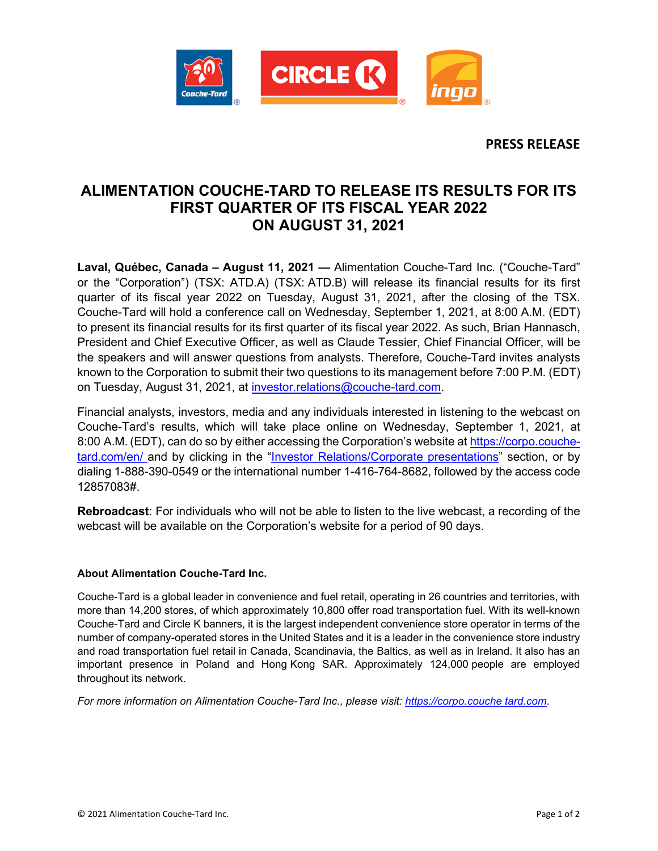

**PRESS RELEASE**

## **ALIMENTATION COUCHE-TARD TO RELEASE ITS RESULTS FOR ITS FIRST QUARTER OF ITS FISCAL YEAR 2022 ON AUGUST 31, 2021**

**Laval, Québec, Canada – August 11, 2021 —** Alimentation Couche-Tard Inc. ("Couche-Tard" or the "Corporation") (TSX: ATD.A) (TSX: ATD.B) will release its financial results for its first quarter of its fiscal year 2022 on Tuesday, August 31, 2021, after the closing of the TSX. Couche-Tard will hold a conference call on Wednesday, September 1, 2021, at 8:00 A.M. (EDT) to present its financial results for its first quarter of its fiscal year 2022. As such, Brian Hannasch, President and Chief Executive Officer, as well as Claude Tessier, Chief Financial Officer, will be the speakers and will answer questions from analysts. Therefore, Couche-Tard invites analysts known to the Corporation to submit their two questions to its management before 7:00 P.M. (EDT) on Tuesday, August 31, 2021, at [investor.relations@couche-tard.com.](mailto:investor.relations@couche-tard.com)

Financial analysts, investors, media and any individuals interested in listening to the webcast on Couche-Tard's results, which will take place online on Wednesday, September 1, 2021, at 8:00 A.M. (EDT), can do so by either accessing the Corporation's website at [https://corpo.couche](https://corpo.couche-tard.com/en/)[tard.com/en/](https://corpo.couche-tard.com/en/) and by clicking in the ["Investor Relations/Corporate presentations"](https://corpo.couche-tard.com/en/investor-relations/corporate-presentations/) section, or by dialing 1-888-390-0549 or the international number 1-416-764-8682, followed by the access code 12857083#.

**Rebroadcast**: For individuals who will not be able to listen to the live webcast, a recording of the webcast will be available on the Corporation's website for a period of 90 days.

## **About Alimentation Couche-Tard Inc.**

Couche-Tard is a global leader in convenience and fuel retail, operating in 26 countries and territories, with more than 14,200 stores, of which approximately 10,800 offer road transportation fuel. With its well-known Couche-Tard and Circle K banners, it is the largest independent convenience store operator in terms of the number of company-operated stores in the United States and it is a leader in the convenience store industry and road transportation fuel retail in Canada, Scandinavia, the Baltics, as well as in Ireland. It also has an important presence in Poland and Hong Kong SAR. Approximately 124,000 people are employed throughout its network.

*For more information on Alimentation Couche-Tard Inc., please visit: [https://corpo.couche tard.com](https://corpo.couche-tard.com/)*.